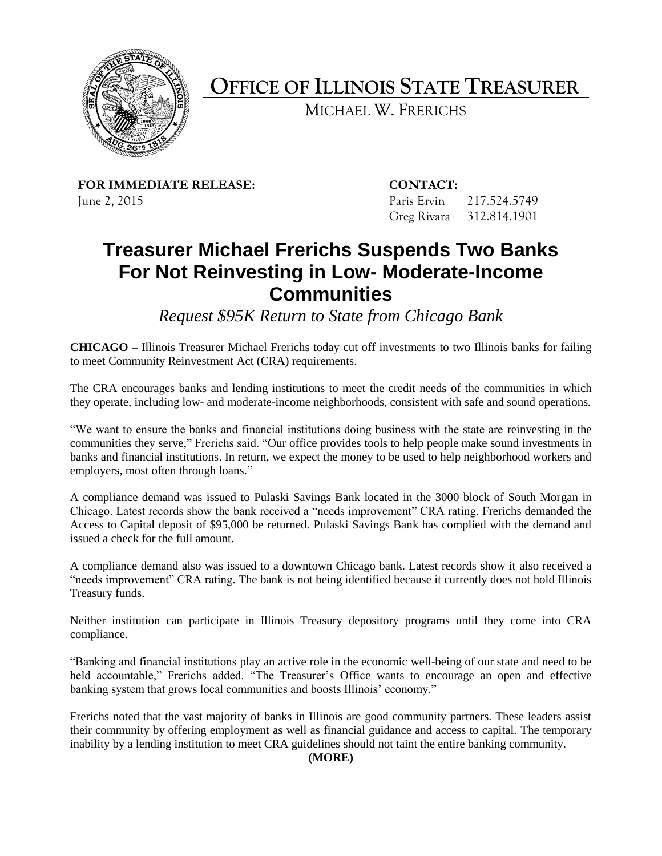

**OFFICE OF ILLINOIS STATE TREASURER**

MICHAEL W. FRERICHS

**FOR IMMEDIATE RELEASE: CONTACT:** June 2, 2015 Paris Ervin 217.524.5749

Greg Rivara 312.814.1901

## **Treasurer Michael Frerichs Suspends Two Banks For Not Reinvesting in Low- Moderate-Income Communities**

*Request \$95K Return to State from Chicago Bank*

**CHICAGO –** Illinois Treasurer Michael Frerichs today cut off investments to two Illinois banks for failing to meet Community Reinvestment Act (CRA) requirements.

The CRA encourages banks and lending institutions to meet the credit needs of the communities in which they operate, including low- and moderate-income neighborhoods, consistent with safe and sound operations.

"We want to ensure the banks and financial institutions doing business with the state are reinvesting in the communities they serve," Frerichs said. "Our office provides tools to help people make sound investments in banks and financial institutions. In return, we expect the money to be used to help neighborhood workers and employers, most often through loans."

A compliance demand was issued to Pulaski Savings Bank located in the 3000 block of South Morgan in Chicago. Latest records show the bank received a "needs improvement" CRA rating. Frerichs demanded the Access to Capital deposit of \$95,000 be returned. Pulaski Savings Bank has complied with the demand and issued a check for the full amount.

A compliance demand also was issued to a downtown Chicago bank. Latest records show it also received a "needs improvement" CRA rating. The bank is not being identified because it currently does not hold Illinois Treasury funds.

Neither institution can participate in Illinois Treasury depository programs until they come into CRA compliance.

"Banking and financial institutions play an active role in the economic well-being of our state and need to be held accountable," Frerichs added. "The Treasurer's Office wants to encourage an open and effective banking system that grows local communities and boosts Illinois' economy."

Frerichs noted that the vast majority of banks in Illinois are good community partners. These leaders assist their community by offering employment as well as financial guidance and access to capital. The temporary inability by a lending institution to meet CRA guidelines should not taint the entire banking community.

## **(MORE)**